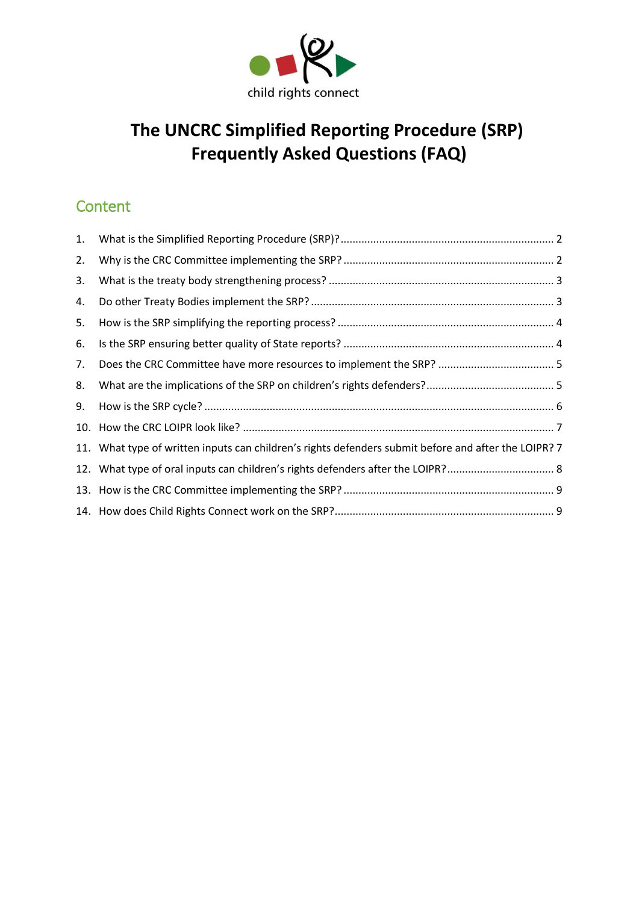

# **The UNCRC Simplified Reporting Procedure (SRP) Frequently Asked Questions (FAQ)**

# **Content**

| 1. |                                                                                                      |  |
|----|------------------------------------------------------------------------------------------------------|--|
| 2. |                                                                                                      |  |
| 3. |                                                                                                      |  |
| 4. |                                                                                                      |  |
| 5. |                                                                                                      |  |
| 6. |                                                                                                      |  |
| 7. |                                                                                                      |  |
| 8. |                                                                                                      |  |
| 9. |                                                                                                      |  |
|    |                                                                                                      |  |
|    | 11. What type of written inputs can children's rights defenders submit before and after the LOIPR? 7 |  |
|    |                                                                                                      |  |
|    |                                                                                                      |  |
|    |                                                                                                      |  |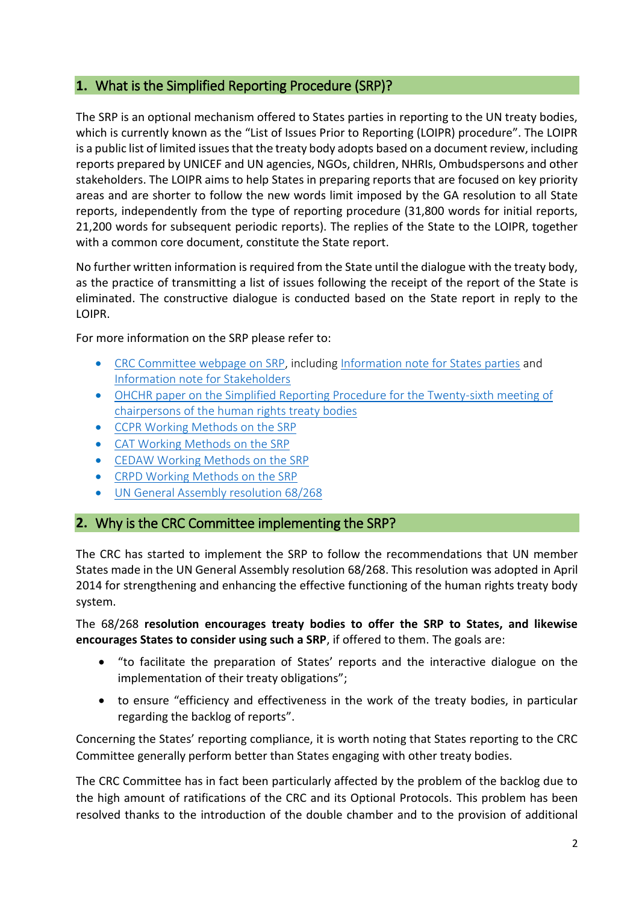# <span id="page-1-0"></span>**1.** What is the Simplified Reporting Procedure (SRP)?

The SRP is an optional mechanism offered to States parties in reporting to the UN treaty bodies, which is currently known as the "List of Issues Prior to Reporting (LOIPR) procedure". The LOIPR is a public list of limited issues that the treaty body adopts based on a document review, including reports prepared by UNICEF and UN agencies, NGOs, children, NHRIs, Ombudspersons and other stakeholders. The LOIPR aims to help States in preparing reports that are focused on key priority areas and are shorter to follow the new words limit imposed by the GA resolution to all State reports, independently from the type of reporting procedure (31,800 words for initial reports, 21,200 words for subsequent periodic reports). The replies of the State to the LOIPR, together with a common core document, constitute the State report.

No further written information is required from the State until the dialogue with the treaty body, as the practice of transmitting a list of issues following the receipt of the report of the State is eliminated. The constructive dialogue is conducted based on the State report in reply to the LOIPR.

For more information on the SRP please refer to:

- [CRC Committee webpage on SRP,](http://www.ohchr.org/EN/HRBodies/CRC/Pages/ReportingProcedure.aspx) including [Information note for States parties](http://www.ohchr.org/Documents/HRBodies/CRC/InfoNoteStatesSRPDec2017.pdf) and [Information note for Stakeholders](http://www.ohchr.org/Documents/HRBodies/CRC/InfoNoteStakeholdersSRPDec2017.pdf)
- [OHCHR paper on the Simplified Reporting Procedure for the Twenty-sixth meeting of](http://tbinternet.ohchr.org/_layouts/treatybodyexternal/Download.aspx?symbolno=HRI%2fMC%2f2014%2f4&Lang=en)  [chairpersons of the human rights treaty bodies](http://tbinternet.ohchr.org/_layouts/treatybodyexternal/Download.aspx?symbolno=HRI%2fMC%2f2014%2f4&Lang=en)
- [CCPR Working Methods on the SRP](http://www.ohchr.org/EN/HRBodies/CCPR/Pages/SimplifiedReportingProcedure.aspx)
- [CAT Working Methods on the SRP](http://www.ohchr.org/EN/HRBodies/CAT/Pages/ReportingProcedures.aspx)
- [CEDAW Working Methods on the SRP](http://www.ohchr.org/EN/HRBodies/CEDAW/Pages/ReportingProcedures.aspx)
- [CRPD Working Methods on the SRP](http://www.ohchr.org/EN/HRBodies/CRPD/Pages/Simplifiedreportingprocedure.aspx)
- [UN General Assembly resolution 68/268](http://www.ohchr.org/Documents/HRBodies/TB/HRTD/A-RES-68-268_E.pdf)

#### <span id="page-1-1"></span>**2.** Why is the CRC Committee implementing the SRP?

The CRC has started to implement the SRP to follow the recommendations that UN member States made in the UN General Assembly resolution 68/268. This resolution was adopted in April 2014 for strengthening and enhancing the effective functioning of the human rights treaty body system.

The 68/268 **resolution encourages treaty bodies to offer the SRP to States, and likewise encourages States to consider using such a SRP**, if offered to them. The goals are:

- "to facilitate the preparation of States' reports and the interactive dialogue on the implementation of their treaty obligations";
- to ensure "efficiency and effectiveness in the work of the treaty bodies, in particular regarding the backlog of reports".

Concerning the States' reporting compliance, it is worth noting that States reporting to the CRC Committee generally perform better than States engaging with other treaty bodies.

The CRC Committee has in fact been particularly affected by the problem of the backlog due to the high amount of ratifications of the CRC and its Optional Protocols. This problem has been resolved thanks to the introduction of the double chamber and to the provision of additional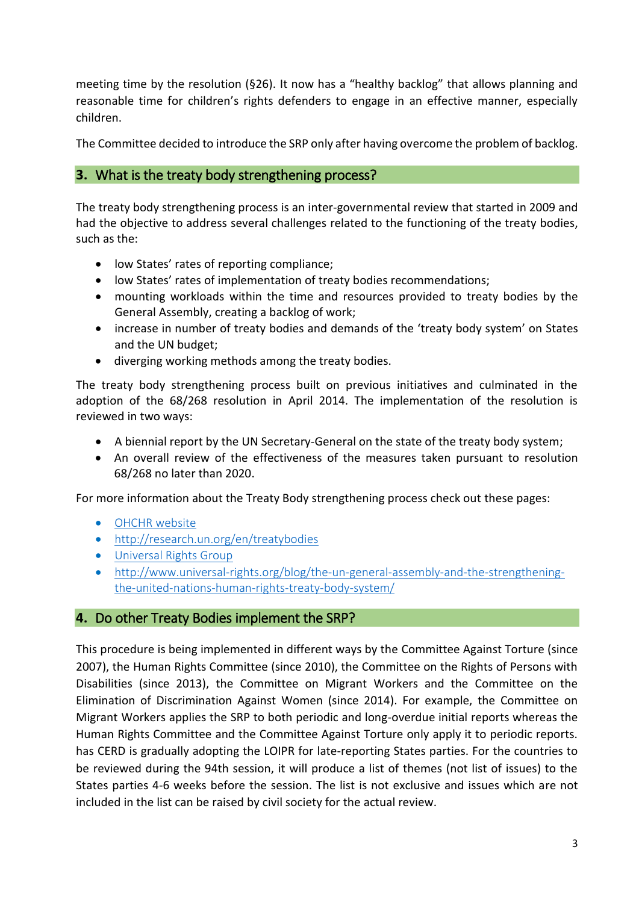meeting time by the resolution (§26). It now has a "healthy backlog" that allows planning and reasonable time for children's rights defenders to engage in an effective manner, especially children.

The Committee decided to introduce the SRP only after having overcome the problem of backlog.

#### <span id="page-2-0"></span>**3.** What is the treaty body strengthening process?

The treaty body strengthening process is an inter-governmental review that started in 2009 and had the objective to address several challenges related to the functioning of the treaty bodies, such as the:

- low States' rates of reporting compliance;
- low States' rates of implementation of treaty bodies recommendations;
- mounting workloads within the time and resources provided to treaty bodies by the General Assembly, creating a backlog of work;
- increase in number of treaty bodies and demands of the 'treaty body system' on States and the UN budget;
- diverging working methods among the treaty bodies.

The treaty body strengthening process built on previous initiatives and culminated in the adoption of the 68/268 resolution in April 2014. The implementation of the resolution is reviewed in two ways:

- A biennial report by the UN Secretary-General on the state of the treaty body system;
- An overall review of the effectiveness of the measures taken pursuant to resolution 68/268 no later than 2020.

For more information about the Treaty Body strengthening process check out these pages:

- [OHCHR website](http://www.ohchr.org/EN/HRBodies/HRTD/Pages/TBStrengthening.aspx)
- <http://research.un.org/en/treatybodies>
- [Universal Rights Group](http://www.universal-rights.org/blog/un-general-assembly-concludes-its-review-of-the-human-rights-treaty-bodies/)
- [http://www.universal-rights.org/blog/the-un-general-assembly-and-the-strengthening](http://www.universal-rights.org/blog/the-un-general-assembly-and-the-strengthening-the-united-nations-human-rights-treaty-body-system/)[the-united-nations-human-rights-treaty-body-system/](http://www.universal-rights.org/blog/the-un-general-assembly-and-the-strengthening-the-united-nations-human-rights-treaty-body-system/)

#### <span id="page-2-1"></span>**4.** Do other Treaty Bodies implement the SRP?

This procedure is being implemented in different ways by the Committee Against Torture (since 2007), the Human Rights Committee (since 2010), the Committee on the Rights of Persons with Disabilities (since 2013), the Committee on Migrant Workers and the Committee on the Elimination of Discrimination Against Women (since 2014). For example, the Committee on Migrant Workers applies the SRP to both periodic and long-overdue initial reports whereas the Human Rights Committee and the Committee Against Torture only apply it to periodic reports. has CERD is gradually adopting the LOIPR for late-reporting States parties. For the countries to be reviewed during the 94th session, it will produce a list of themes (not list of issues) to the States parties 4-6 weeks before the session. The list is not exclusive and issues which are not included in the list can be raised by civil society for the actual review.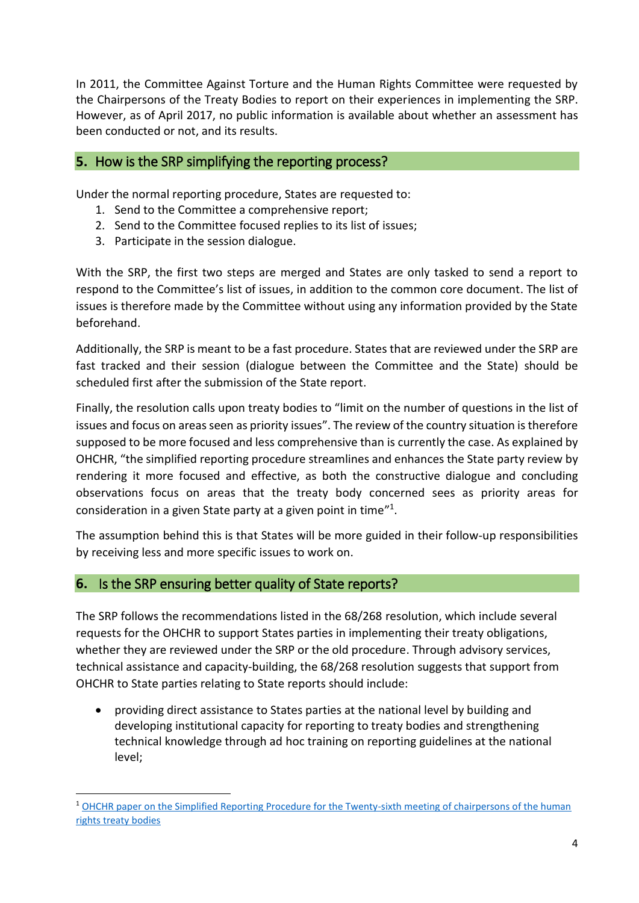In 2011, the Committee Against Torture and the Human Rights Committee were requested by the Chairpersons of the Treaty Bodies to report on their experiences in implementing the SRP. However, as of April 2017, no public information is available about whether an assessment has been conducted or not, and its results.

#### <span id="page-3-0"></span>**5.** How is the SRP simplifying the reporting process?

Under the normal reporting procedure, States are requested to:

- 1. Send to the Committee a comprehensive report;
- 2. Send to the Committee focused replies to its list of issues;
- 3. Participate in the session dialogue.

With the SRP, the first two steps are merged and States are only tasked to send a report to respond to the Committee's list of issues, in addition to the common core document. The list of issues is therefore made by the Committee without using any information provided by the State beforehand.

Additionally, the SRP is meant to be a fast procedure. States that are reviewed under the SRP are fast tracked and their session (dialogue between the Committee and the State) should be scheduled first after the submission of the State report.

Finally, the resolution calls upon treaty bodies to "limit on the number of questions in the list of issues and focus on areas seen as priority issues". The review of the country situation is therefore supposed to be more focused and less comprehensive than is currently the case. As explained by OHCHR, "the simplified reporting procedure streamlines and enhances the State party review by rendering it more focused and effective, as both the constructive dialogue and concluding observations focus on areas that the treaty body concerned sees as priority areas for consideration in a given State party at a given point in time"<sup>1</sup>.

The assumption behind this is that States will be more guided in their follow-up responsibilities by receiving less and more specific issues to work on.

#### <span id="page-3-1"></span>**6.** Is the SRP ensuring better quality of State reports?

**.** 

The SRP follows the recommendations listed in the 68/268 resolution, which include several requests for the OHCHR to support States parties in implementing their treaty obligations, whether they are reviewed under the SRP or the old procedure. Through advisory services, technical assistance and capacity-building, the 68/268 resolution suggests that support from OHCHR to State parties relating to State reports should include:

• providing direct assistance to States parties at the national level by building and developing institutional capacity for reporting to treaty bodies and strengthening technical knowledge through ad hoc training on reporting guidelines at the national level;

<sup>1</sup> [OHCHR paper on the Simplified Reporting Procedure for the Twenty-sixth meeting of chairpersons of the human](http://tbinternet.ohchr.org/_layouts/treatybodyexternal/Download.aspx?symbolno=HRI%2fMC%2f2014%2f4&Lang=en)  [rights treaty bodies](http://tbinternet.ohchr.org/_layouts/treatybodyexternal/Download.aspx?symbolno=HRI%2fMC%2f2014%2f4&Lang=en)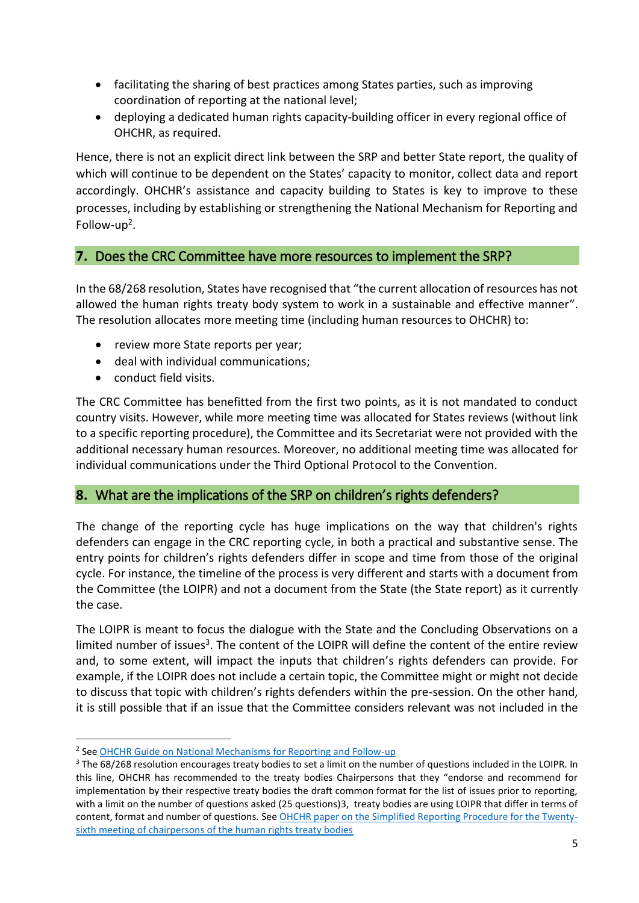- facilitating the sharing of best practices among States parties, such as improving coordination of reporting at the national level;
- deploying a dedicated human rights capacity-building officer in every regional office of OHCHR, as required.

Hence, there is not an explicit direct link between the SRP and better State report, the quality of which will continue to be dependent on the States' capacity to monitor, collect data and report accordingly. OHCHR's assistance and capacity building to States is key to improve to these processes, including by establishing or strengthening the National Mechanism for Reporting and Follow-up<sup>2</sup>.

# <span id="page-4-0"></span>**7.** Does the CRC Committee have more resources to implement the SRP?

In the 68/268 resolution, States have recognised that "the current allocation of resources has not allowed the human rights treaty body system to work in a sustainable and effective manner". The resolution allocates more meeting time (including human resources to OHCHR) to:

- review more State reports per year;
- deal with individual communications;
- conduct field visits.

**.** 

The CRC Committee has benefitted from the first two points, as it is not mandated to conduct country visits. However, while more meeting time was allocated for States reviews (without link to a specific reporting procedure), the Committee and its Secretariat were not provided with the additional necessary human resources. Moreover, no additional meeting time was allocated for individual communications under the Third Optional Protocol to the Convention.

#### <span id="page-4-1"></span>**8.** What are the implications of the SRP on children's rights defenders?

The change of the reporting cycle has huge implications on the way that children's rights defenders can engage in the CRC reporting cycle, in both a practical and substantive sense. The entry points for children's rights defenders differ in scope and time from those of the original cycle. For instance, the timeline of the process is very different and starts with a document from the Committee (the LOIPR) and not a document from the State (the State report) as it currently the case.

The LOIPR is meant to focus the dialogue with the State and the Concluding Observations on a limited number of issues<sup>3</sup>. The content of the LOIPR will define the content of the entire review and, to some extent, will impact the inputs that children's rights defenders can provide. For example, if the LOIPR does not include a certain topic, the Committee might or might not decide to discuss that topic with children's rights defenders within the pre-session. On the other hand, it is still possible that if an issue that the Committee considers relevant was not included in the

<sup>&</sup>lt;sup>2</sup> See [OHCHR Guide on National Mechanisms for Reporting and Follow-up](http://www.ohchr.org/Documents/Publications/HR_PUB_16_1_NMRF_PracticalGuide.pdf)

<sup>&</sup>lt;sup>3</sup> The 68/268 resolution encourages treaty bodies to set a limit on the number of questions included in the LOIPR. In this line, OHCHR has recommended to the treaty bodies Chairpersons that they "endorse and recommend for implementation by their respective treaty bodies the draft common format for the list of issues prior to reporting, with a limit on the number of questions asked (25 questions)3, treaty bodies are using LOIPR that differ in terms of content, format and number of questions. See [OHCHR paper on the Simplified Reporting Procedure for the Twenty](http://tbinternet.ohchr.org/_layouts/treatybodyexternal/Download.aspx?symbolno=HRI%2fMC%2f2014%2f4&Lang=en)[sixth meeting of chairpersons of the human rights treaty bodies](http://tbinternet.ohchr.org/_layouts/treatybodyexternal/Download.aspx?symbolno=HRI%2fMC%2f2014%2f4&Lang=en)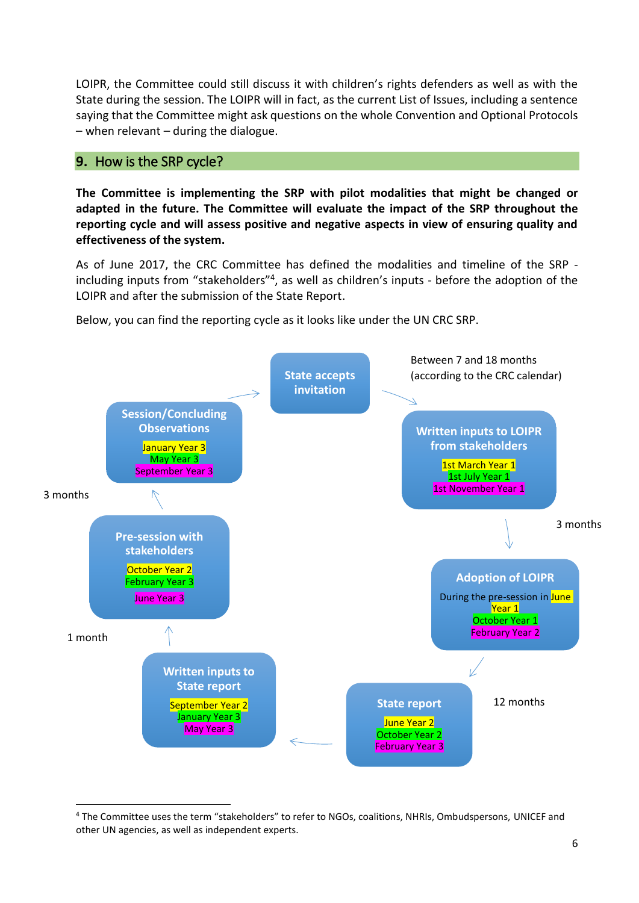LOIPR, the Committee could still discuss it with children's rights defenders as well as with the State during the session. The LOIPR will in fact, as the current List of Issues, including a sentence saying that the Committee might ask questions on the whole Convention and Optional Protocols  $-$  when relevant  $-$  during the dialogue.

#### <span id="page-5-0"></span>**9.** How is the SRP cycle?

**.** 

**The Committee is implementing the SRP with pilot modalities that might be changed or adapted in the future. The Committee will evaluate the impact of the SRP throughout the reporting cycle and will assess positive and negative aspects in view of ensuring quality and effectiveness of the system.** 

As of June 2017, the CRC Committee has defined the modalities and timeline of the SRP including inputs from "stakeholders"<sup>4</sup>, as well as children's inputs - before the adoption of the LOIPR and after the submission of the State Report.

Below, you can find the reporting cycle as it looks like under the UN CRC SRP.



<sup>4</sup> The Committee uses the term "stakeholders" to refer to NGOs, coalitions, NHRIs, Ombudspersons, UNICEF and other UN agencies, as well as independent experts.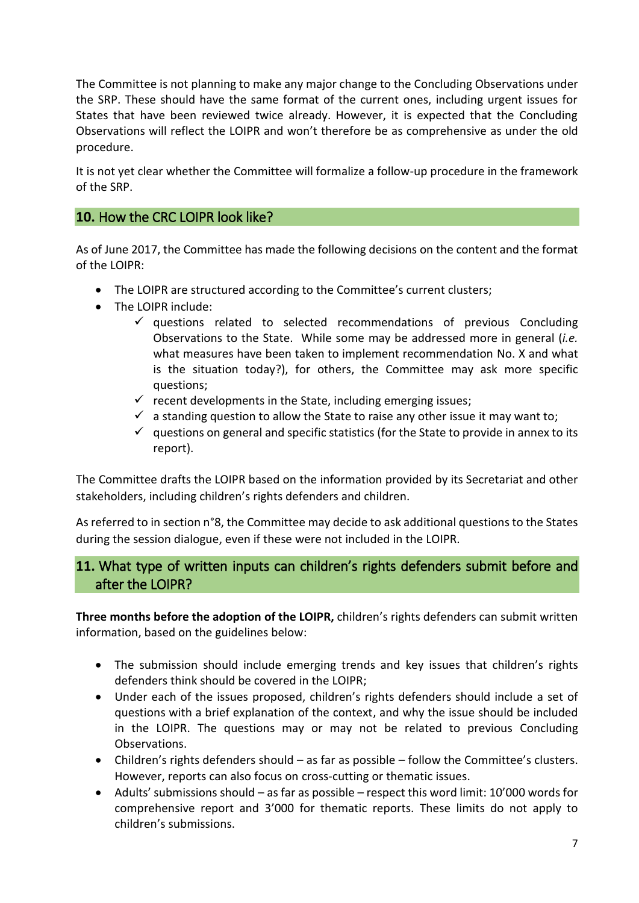The Committee is not planning to make any major change to the Concluding Observations under the SRP. These should have the same format of the current ones, including urgent issues for States that have been reviewed twice already. However, it is expected that the Concluding Observations will reflect the LOIPR and won't therefore be as comprehensive as under the old procedure.

It is not yet clear whether the Committee will formalize a follow-up procedure in the framework of the SRP.

#### <span id="page-6-0"></span>**10.** How the CRC LOIPR look like?

As of June 2017, the Committee has made the following decisions on the content and the format of the LOIPR:

- The LOIPR are structured according to the Committee's current clusters;
- The LOIPR include:
	- $\checkmark$  questions related to selected recommendations of previous Concluding Observations to the State. While some may be addressed more in general (*i.e.* what measures have been taken to implement recommendation No. X and what is the situation today?), for others, the Committee may ask more specific questions;
	- $\checkmark$  recent developments in the State, including emerging issues;
	- $\checkmark$  a standing question to allow the State to raise any other issue it may want to;
	- $\checkmark$  questions on general and specific statistics (for the State to provide in annex to its report).

The Committee drafts the LOIPR based on the information provided by its Secretariat and other stakeholders, including children's rights defenders and children.

As referred to in section n°8, the Committee may decide to ask additional questions to the States during the session dialogue, even if these were not included in the LOIPR.

# <span id="page-6-1"></span>**11.** What type of written inputs can children's rights defenders submit before and after the LOIPR?

**Three months before the adoption of the LOIPR,** children's rights defenders can submit written information, based on the guidelines below:

- The submission should include emerging trends and key issues that children's rights defenders think should be covered in the LOIPR;
- Under each of the issues proposed, children's rights defenders should include a set of questions with a brief explanation of the context, and why the issue should be included in the LOIPR. The questions may or may not be related to previous Concluding Observations.
- Children's rights defenders should as far as possible follow the Committee's clusters. However, reports can also focus on cross-cutting or thematic issues.
- Adults' submissions should as far as possible respect this word limit: 10'000 words for comprehensive report and 3'000 for thematic reports. These limits do not apply to children's submissions.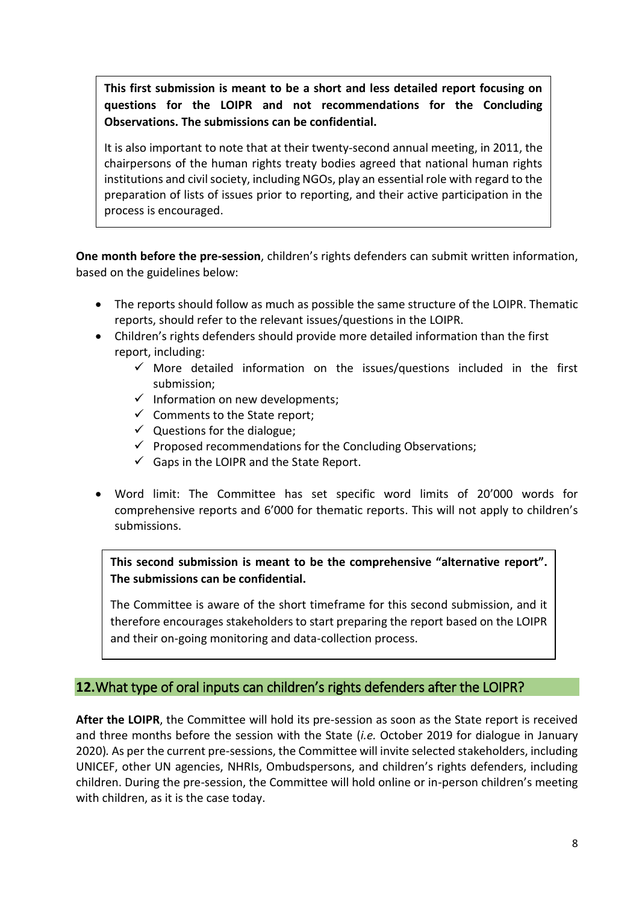**This first submission is meant to be a short and less detailed report focusing on questions for the LOIPR and not recommendations for the Concluding Observations. The submissions can be confidential.** 

It is also important to note that at their twenty-second annual meeting, in 2011, the chairpersons of the human rights treaty bodies agreed that national human rights institutions and civil society, including NGOs, play an essential role with regard to the preparation of lists of issues prior to reporting, and their active participation in the process is encouraged.

**One month before the pre-session**, children's rights defenders can submit written information, based on the guidelines below:

- The reports should follow as much as possible the same structure of the LOIPR. Thematic reports, should refer to the relevant issues/questions in the LOIPR.
- Children's rights defenders should provide more detailed information than the first report, including:
	- $\checkmark$  More detailed information on the issues/questions included in the first submission;
	- $\checkmark$  Information on new developments;
	- ✓ Comments to the State report;
	- $\checkmark$  Questions for the dialogue;
	- $\checkmark$  Proposed recommendations for the Concluding Observations;
	- $\checkmark$  Gaps in the LOIPR and the State Report.
- Word limit: The Committee has set specific word limits of 20'000 words for comprehensive reports and 6'000 for thematic reports. This will not apply to children's submissions.

**This second submission is meant to be the comprehensive "alternative report". The submissions can be confidential.**

The Committee is aware of the short timeframe for this second submission, and it therefore encourages stakeholders to start preparing the report based on the LOIPR and their on-going monitoring and data-collection process.

# <span id="page-7-0"></span>**12.**What type of oral inputs can children's rights defenders after the LOIPR?

**After the LOIPR**, the Committee will hold its pre-session as soon as the State report is received and three months before the session with the State (*i.e.* October 2019 for dialogue in January 2020)*.* As per the current pre-sessions, the Committee will invite selected stakeholders, including UNICEF, other UN agencies, NHRIs, Ombudspersons, and children's rights defenders, including children. During the pre-session, the Committee will hold online or in-person children's meeting with children, as it is the case today.